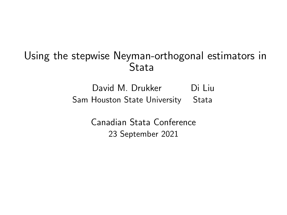#### Using the stepwise Neyman-orthogonal estimators in Stata

David M. Drukker Di Liu Sam Houston State University Stata

> Canadian Stata Conference 23 September 2021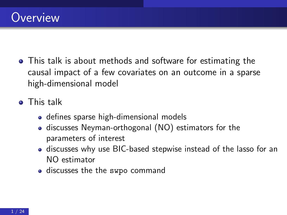- This talk is about methods and software for estimating the causal impact of a few covariates on an outcome in a sparse high-dimensional model
- **o** This talk
	- **o** defines sparse high-dimensional models
	- discusses Neyman-orthogonal (NO) estimators for the parameters of interest
	- discusses why use BIC-based stepwise instead of the lasso for an NO estimator
	- discusses the the swpo command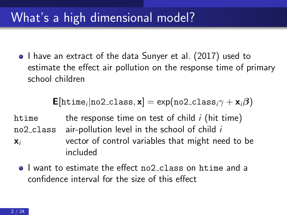# What's a high dimensional model?

• I have an extract of the data Sunyer et al. (2017) used to estimate the effect air pollution on the response time of primary school children

$$
\text{E}[ \text{htime}_i | \text{no2-class}, \textbf{x} ] = \exp ( \text{no2-class}_i \gamma + \textbf{x}_i \beta )
$$

htime the response time on test of child  $i$  (hit time) no2 class air-pollution level in the school of child i  $x_i$  vector of control variables that might need to be included

**I** want to estimate the effect no2 class on htime and a confidence interval for the size of this effect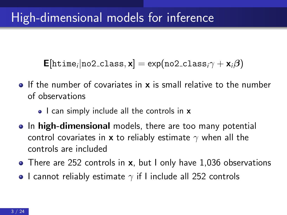${\sf E}[$ htime<sub>i</sub>|no2\_class, ${\sf x}] = \exp(n$ o2\_class<sub>i</sub> $\gamma + {\sf x}_i \boldsymbol{\beta})$ 

- $\bullet$  If the number of covariates in **x** is small relative to the number of observations
	- I can simply include all the controls in **x**
- In high-dimensional models, there are too many potential control covariates in x to reliably estimate  $\gamma$  when all the controls are included
- There are 252 controls in **x**, but I only have 1,036 observations
- I cannot reliably estimate  $\gamma$  if I include all 252 controls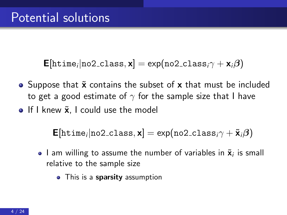${\sf E}[$ htime<sub>i</sub>|no2\_class, ${\sf x}] = \exp(n$ o2\_class<sub>i</sub> $\gamma + {\sf x}_i \boldsymbol{\beta})$ 

- Suppose that  $\tilde{x}$  contains the subset of  $x$  that must be included to get a good estimate of  $\gamma$  for the sample size that I have
- $\bullet$  If I knew  $\tilde{\mathbf{x}}$ , I could use the model

$$
\text{E}[ \text{htime}_i | \text{no2-class}, \textbf{x} ] = \text{exp}( \text{no2-class}_i \gamma + \tilde{\textbf{x}}_i \beta )
$$

- I am willing to assume the number of variables in  $\tilde{\mathbf{x}}_i$  is small relative to the sample size
	- This is a **sparsity** assumption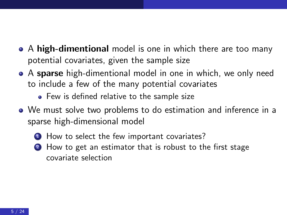- A high-dimentional model is one in which there are too many potential covariates, given the sample size
- A sparse high-dimentional model in one in which, we only need to include a few of the many potential covariates
	- Few is defined relative to the sample size
- We must solve two problems to do estimation and inference in a sparse high-dimensional model
	- **1** How to select the few important covariates?
	- 2 How to get an estimator that is robust to the first stage covariate selection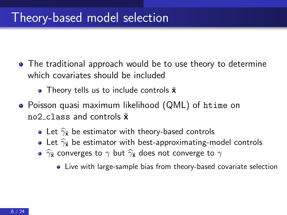## Theory-based model selection

- The traditional approach would be to use theory to determine which covariates should be included
	- Theory tells us to include controls  $\check{\mathbf{x}}$
- Poisson quasi maximum likelihood (QML) of htime on no2 class and controls  $\check{\mathbf{x}}$ 
	- Let  $\hat{\gamma}_{\mathbf{\check{x}}}$  be estimator with theory-based controls
	- Let  $\hat{\gamma}_{\tilde{x}}$  be estimator with best-approximating-model controls
	- $\widehat{\gamma}_{\mathbf{\tilde{x}}}$  converges to  $\gamma$  but  $\widehat{\gamma}_{\mathbf{\tilde{x}}}$  does not converge to  $\gamma$ 
		- Live with large-sample bias from theory-based covariate selection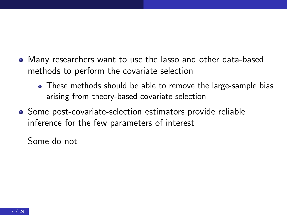- Many researchers want to use the lasso and other data-based methods to perform the covariate selection
	- These methods should be able to remove the large-sample bias arising from theory-based covariate selection
- Some post-covariate-selection estimators provide reliable inference for the few parameters of interest

Some do not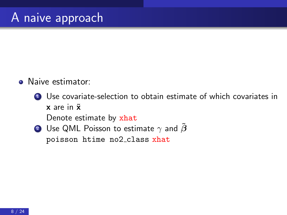- Naive estimator:
	- **1** Use covariate-selection to obtain estimate of which covariates in  $x$  are in  $\tilde{x}$

Denote estimate by xhat

2 Use QML Poisson to estimate  $\gamma$  and  $\beta$ poisson htime no2 class xhat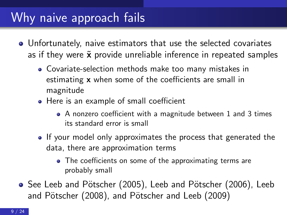# Why naive approach fails

- Unfortunately, naive estimators that use the selected covariates as if they were  $\tilde{x}$  provide unreliable inference in repeated samples
	- Covariate-selection methods make too many mistakes in estimating x when some of the coefficients are small in magnitude
	- Here is an example of small coefficient
		- A nonzero coefficient with a magnitude between 1 and 3 times its standard error is small
	- If your model only approximates the process that generated the data, there are approximation terms
		- The coefficients on some of the approximating terms are probably small
- See Leeb and Pötscher (2005), Leeb and Pötscher (2006), Leeb and Pötscher (2008), and Pötscher and Leeb (2009)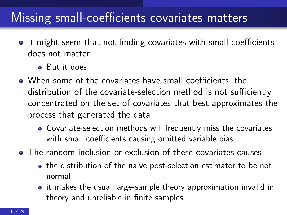## Missing small-coefficients covariates matters

- It might seem that not finding covariates with small coefficients does not matter
	- But it does
- When some of the covariates have small coefficients, the distribution of the covariate-selection method is not sufficiently concentrated on the set of covariates that best approximates the process that generated the data
	- Covariate-selection methods will frequently miss the covariates with small coefficients causing omitted variable bias
- The random inclusion or exclusion of these covariates causes
	- the distribution of the naive post-selection estimator to be not normal
	- it makes the usual large-sample theory approximation invalid in theory and unreliable in finite samples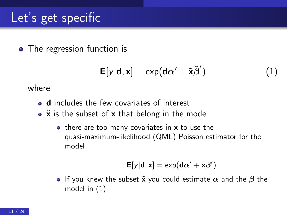• The regression function is

<span id="page-11-0"></span>
$$
\mathsf{E}[y|\mathbf{d},\mathbf{x}] = \exp(\mathbf{d}\alpha' + \tilde{\mathbf{x}}\tilde{\beta}')
$$
 (1)

where

- d includes the few covariates of interest
- $\bullet$   $\tilde{x}$  is the subset of x that belong in the model
	- there are too many covariates in x to use the quasi-maximum-likelihood (QML) Poisson estimator for the model

$$
\textbf{E}[y|\textbf{d},\textbf{x}] = \text{exp}(\textbf{d}\alpha' + \textbf{x}\beta')
$$

**If** you knew the subset  $\tilde{\mathbf{x}}$  you could estimate  $\alpha$  and the  $\beta$  the model in [\(1\)](#page-11-0)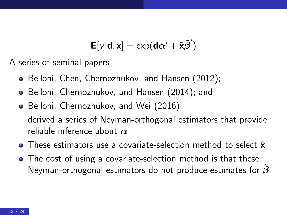$$
\textbf{E}[y|\textbf{d},\textbf{x}] = \text{exp}(\textbf{d}\alpha' + \tilde{\textbf{x}}\tilde{\beta}')
$$

A series of seminal papers

- Belloni, Chen, Chernozhukov, and Hansen (2012);
- Belloni, Chernozhukov, and Hansen (2014); and
- Belloni, Chernozhukov, and Wei (2016) derived a series of Neyman-orthogonal estimators that provide reliable inference about  $\alpha$
- $\bullet$  These estimators use a covariate-selection method to select  $\tilde{\mathbf{x}}$
- The cost of using a covariate-selection method is that these Neyman-orthogonal estimators do not produce estimates for  $\tilde{\beta}$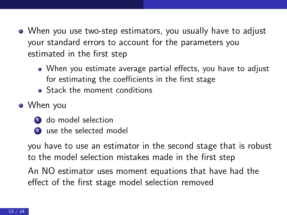- When you use two-step estimators, you usually have to adjust your standard errors to account for the parameters you estimated in the first step
	- When you estimate average partial effects, you have to adjust for estimating the coefficients in the first stage
	- **Stack the moment conditions**
- When you
	- **1** do model selection
	- <sup>2</sup> use the selected model

you have to use an estimator in the second stage that is robust to the model selection mistakes made in the first step

An NO estimator uses moment equations that have had the effect of the first stage model selection removed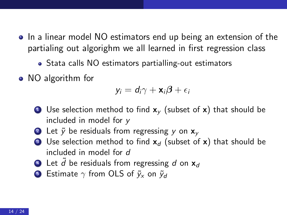- In a linear model NO estimators end up being an extension of the partialing out algorighm we all learned in first regression class
	- Stata calls NO estimators partialling-out estimators
- NO algorithm for

$$
y_i = d_i \gamma + \mathbf{x}_i \boldsymbol{\beta} + \epsilon_i
$$

- **1** Use selection method to find  $x<sub>v</sub>$  (subset of x) that should be included in model for y
- 2 Let  $\tilde{v}$  be residuals from regressing y on  $x_v$
- **3** Use selection method to find  $x_d$  (subset of x) that should be included in model for d
- 4 Let  $\tilde{d}$  be residuals from regressing d on  $x_d$
- **5** Estimate  $\gamma$  from OLS of  $\tilde{v}_x$  on  $\tilde{v}_d$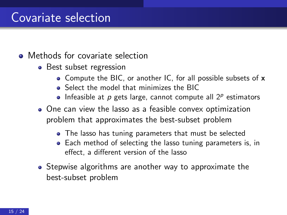### Covariate selection

- Methods for covariate selection
	- Best subset regression
		- Compute the BIC, or another IC, for all possible subsets of x
		- **•** Select the model that minimizes the BIC
		- Infeasible at  $p$  gets large, cannot compute all  $2^p$  estimators
	- One can view the lasso as a feasible convex optimization problem that approximates the best-subset problem
		- The lasso has tuning parameters that must be selected
		- Each method of selecting the lasso tuning parameters is, in effect, a different version of the lasso
	- Stepwise algorithms are another way to approximate the best-subset problem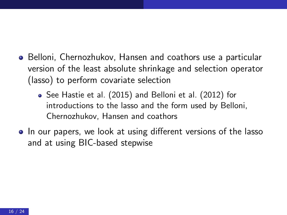- Belloni, Chernozhukov, Hansen and coathors use a particular version of the least absolute shrinkage and selection operator (lasso) to perform covariate selection
	- See Hastie et al. (2015) and Belloni et al. (2012) for introductions to the lasso and the form used by Belloni, Chernozhukov, Hansen and coathors
- In our papers, we look at using different versions of the lasso and at using BIC-based stepwise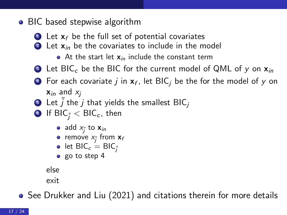#### • BIC based stepwise algorithm

- $\bullet$  Let  $x_f$  be the full set of potential covariates
- $\bullet$  Let  $x_{in}$  be the covariates to include in the model
	- At the start let  $x_{in}$  include the constant term
- <span id="page-17-0"></span>**3** Let BIC<sub>c</sub> be the BIC for the current model of QML of y on  $x_{in}$
- $\bullet\,$  For each covariate  $j$  in  ${\mathbf x}_f$ , let BIC $_j$  be the for the model of  $y$  on  $x_{in}$  and  $x_i$
- **5** Let  $\tilde{j}$  the  $j$  that yields the smallest BIC<sub>j</sub>
- **6** If BIC<sub> $\tilde{i}$ </sub>  $<$  BIC<sub>c</sub>, then
	- add  $x_i$  to  $x_{in}$
	- remove  $x_i$  from  $x_f$
	- let  $BIC_c = BIC_{\tilde{i}}$
	- o go to step [4](#page-17-0)

else

exit

• See Drukker and Liu (2021) and citations therein for more details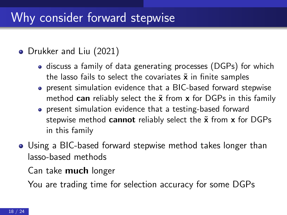## Why consider forward stepwise

#### • Drukker and Liu (2021)

- discuss a family of data generating processes (DGPs) for which the lasso fails to select the covariates  $\tilde{x}$  in finite samples
- present simulation evidence that a BIC-based forward stepwise method can reliably select the  $\tilde{\mathbf{x}}$  from  $\mathbf{x}$  for DGPs in this family
- present simulation evidence that a testing-based forward stepwise method cannot reliably select the  $\tilde{x}$  from  $x$  for DGPs in this family
- Using a BIC-based forward stepwise method takes longer than lasso-based methods

Can take much longer

You are trading time for selection accuracy for some DGPs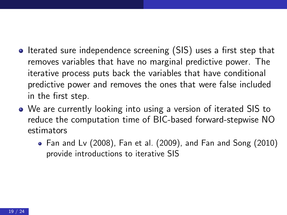- Iterated sure independence screening (SIS) uses a first step that removes variables that have no marginal predictive power. The iterative process puts back the variables that have conditional predictive power and removes the ones that were false included in the first step.
- We are currently looking into using a version of iterated SIS to reduce the computation time of BIC-based forward-stepwise NO estimators
	- Fan and Lv (2008), Fan et al. (2009), and Fan and Song (2010) provide introductions to iterative SIS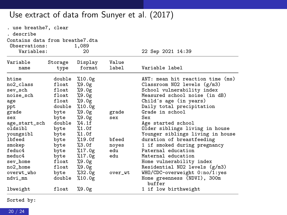#### Use extract of data from Sunyer et al. (2017)

| . use breathe7, clear                            |         |                   |         |                                       |  |  |  |
|--------------------------------------------------|---------|-------------------|---------|---------------------------------------|--|--|--|
| . describe                                       |         |                   |         |                                       |  |  |  |
| Contains data from breathe7.dta<br>Observations: |         | 1,089             |         |                                       |  |  |  |
| Variables:                                       |         | 20                |         | 22 Sep 2021 14:39                     |  |  |  |
| Variable                                         | Storage | Display           | Value   |                                       |  |  |  |
| name                                             | type    | format            | label   | Variable label                        |  |  |  |
| htime                                            | double  | %10.0g            |         | ANT: mean hit reaction time (ms)      |  |  |  |
| no2_class                                        | float   | %9.0g             |         | Classroom NO2 levels (g/m3)           |  |  |  |
| sev_sch                                          | float   | %9.0g             |         | School vulnerability index            |  |  |  |
| noise_sch                                        | float   | %9.0g             |         | Measured school noise (in dB)         |  |  |  |
| age                                              | float   | %9.0g             |         | Child's age (in years)                |  |  |  |
| ppt                                              | double  | %10.0g            |         | Daily total precipitation             |  |  |  |
| grade                                            | byte    | %9.0g             | grade   | Grade in school                       |  |  |  |
| sex                                              | byte    | %9.0g             | sex     | Sex                                   |  |  |  |
| age_start_sch                                    | double  | %4.1f             |         | Age started school                    |  |  |  |
| oldsibl                                          | byte    | %1.0f             |         | Older siblings living in house        |  |  |  |
| youngsibl                                        | byte    | $-.10$            |         | Younger siblings living in house      |  |  |  |
| <b>lbfeed</b>                                    | byte    | $-.19.0f$         | bfeed   | duration of breastfeeding             |  |  |  |
| smokep                                           | byte    | $\frac{2}{3}$ .0f | noyes   | 1 if smoked during pregnancy          |  |  |  |
| feduc4                                           | byte    | %17.0g            | edu     | Paternal education                    |  |  |  |
| meduc4                                           | byte    | %17.0g            | edu     | Maternal education                    |  |  |  |
| sev_home                                         | float   | %9.0g             |         | Home vulnerability index              |  |  |  |
| no2_home                                         | float   | %9.0g             |         | Residential NO2 levels (g/m3)         |  |  |  |
| overwt_who                                       | byte    | %32.0g            | over_wt | WHO/CDC-overweight 0:no/1:yes         |  |  |  |
| ndvi_mn                                          | double  | %10.0g            |         | Home greenness (NDVI), 300m<br>buffer |  |  |  |
| lbweight                                         | float   | %9.0g             |         | 1 if low birthweight                  |  |  |  |

Sorted by: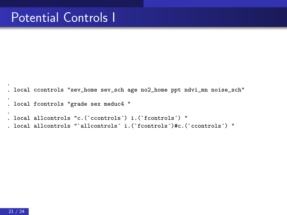```
.
. local ccontrols "sev_home sev_sch age no2_home ppt ndvi_mn noise_sch"
.
. local fcontrols "grade sex meduc4 "
.
. local allcontrols "c.(`ccontrols´) i.(`fcontrols´) "
. local allcontrols "`allcontrols´ i.(`fcontrols´)#c.(`ccontrols´) "
```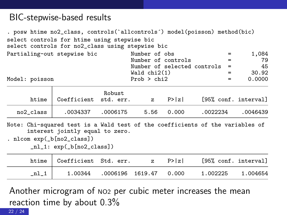#### BIC-stepwise-based results

. posw htime no2\_class, controls(`allcontrols´) model(poisson) method(bic) select controls for htime using stepwise bic select controls for no2\_class using stepwise bic Partialing-out stepwise bic Mumber of obs = 1,084<br>Number of controls = 79 Number of controls = 79<br>Number of selected controls = 45 Number of selected controls =  $45$ <br>Wald chi2(1) =  $30.92$  $\text{Wald chi2(1)} = 30.92$ <br>Prob > chi2 = 0.0000 Model: poisson Prob > chi2 =

| htime     | Coefficient std. err. | Robust   | $\mathbf{z}$ | P >  z | [95% conf. interval] |          |
|-----------|-----------------------|----------|--------------|--------|----------------------|----------|
| no2 class | .0034337              | .0006175 | 5.56         | 0.000  | .0022234             | .0046439 |

Note: Chi-squared test is a Wald test of the coefficients of the variables of interest jointly equal to zero.

. nlcom exp(\_b[no2\_class])

\_nl\_1: exp(\_b[no2\_class])

| htime | Coefficient Std. err. |                        | $\mathbb{Z}$ | P>  z | [95% conf. interval] |          |
|-------|-----------------------|------------------------|--------------|-------|----------------------|----------|
|       | 1.00344               | .0006196 1619.47 0.000 |              |       | 1.002225             | 1.004654 |

Another microgram of NO2 per cubic meter increases the mean reaction time by about 0.3% 22 / 24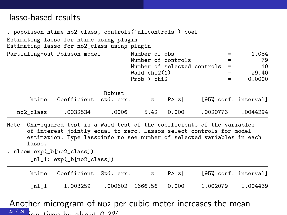#### lasso-based results

. popoisson htime no2\_class, controls(`allcontrols´) coef Estimating lasso for htime using plugin Estimating lasso for no2\_class using plugin Partialing-out Poisson model Number of obs = 1,084 Number of controls = 79<br>Number of selected controls = 10 Number of selected controls =  $10$ <br>Wald chi2(1) =  $29.40$  $\begin{array}{ccc} \text{Wald chi2(1)} & = & 29.40 \\ \text{Prob} > \text{chi2} & = & 0.0000 \end{array}$  $Prob > chi2$  = Robust<br>Coefficient std. err. htime Coefficient std. err. z P>|z| [95% conf. interval] no2\_class .0032534 .0006 5.42 0.000 .0020773 .0044294

Note: Chi-squared test is a Wald test of the coefficients of the variables of interest jointly equal to zero. Lassos select controls for model estimation. Type lassoinfo to see number of selected variables in each lasso.

. nlcom exp(\_b[no2\_class])

\_nl\_1: exp(\_b[no2\_class])

| htime Coefficient Std. err. z P> z |  | [95% conf. interval] |  |
|------------------------------------|--|----------------------|--|
| 1.003259 .000602 1666.56 0.000     |  | 1.002079 1.004439    |  |

Another microgram of NO2 per cubic meter increases the mean  $23/24$  : an time by about 0.3%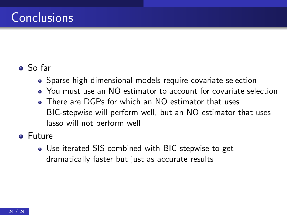# Conclusions

#### So far

- Sparse high-dimensional models require covariate selection
- You must use an NO estimator to account for covariate selection
- **There are DGPs for which an NO estimator that uses** BIC-stepwise will perform well, but an NO estimator that uses lasso will not perform well
- **o** Future
	- Use iterated SIS combined with BIC stepwise to get dramatically faster but just as accurate results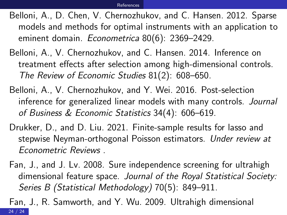- <span id="page-25-0"></span>Belloni, A., D. Chen, V. Chernozhukov, and C. Hansen. 2012. Sparse models and methods for optimal instruments with an application to eminent domain. Econometrica 80(6): 2369–2429.
- Belloni, A., V. Chernozhukov, and C. Hansen. 2014. Inference on treatment effects after selection among high-dimensional controls. The Review of Economic Studies 81(2): 608–650.
- Belloni, A., V. Chernozhukov, and Y. Wei. 2016. Post-selection inference for generalized linear models with many controls. Journal of Business & Economic Statistics 34(4): 606–619.
- Drukker, D., and D. Liu. 2021. Finite-sample results for lasso and stepwise Neyman-orthogonal Poisson estimators. Under review at Econometric Reviews .
- Fan, J., and J. Lv. 2008. Sure independence screening for ultrahigh dimensional feature space. Journal of the Royal Statistical Society: Series B (Statistical Methodology) 70(5): 849–911.

Fan, J., R. Samworth, and Y. Wu. 2009. Ultrahigh dimensional 24 / 24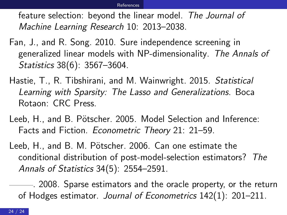<span id="page-26-0"></span>feature selection: beyond the linear model. The Journal of Machine Learning Research 10: 2013–2038.

- Fan, J., and R. Song. 2010. Sure independence screening in generalized linear models with NP-dimensionality. The Annals of Statistics 38(6): 3567–3604.
- Hastie, T., R. Tibshirani, and M. Wainwright. 2015. Statistical Learning with Sparsity: The Lasso and Generalizations. Boca Rotaon: CRC Press.
- Leeb, H., and B. Pötscher. 2005. Model Selection and Inference: Facts and Fiction. Econometric Theory 21: 21–59.
- Leeb, H., and B. M. Pötscher. 2006. Can one estimate the conditional distribution of post-model-selection estimators? The Annals of Statistics 34(5): 2554–2591.

. 2008. Sparse estimators and the oracle property, or the return of Hodges estimator. Journal of Econometrics 142(1): 201–211.